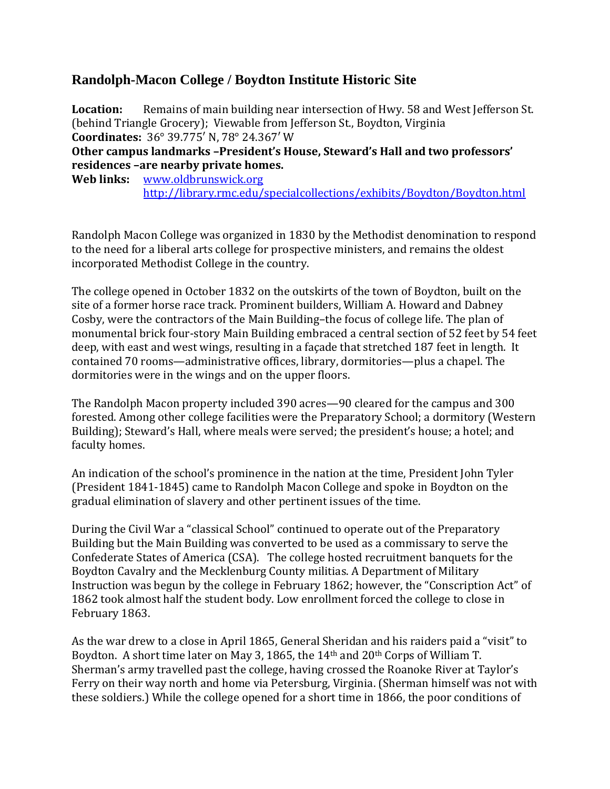## **Randolph-Macon College / Boydton Institute Historic Site**

**Location:** Remains of main building near intersection of Hwy. 58 and West Jefferson St. (behind Triangle Grocery); Viewable from Jefferson St., Boydton, Virginia **Coordinates:** 36° 39.775′ N, 78° 24.367′ W **Other campus landmarks –President's House, Steward's Hall and two professors'** 

**residences –are nearby private homes.** 

**Web links:** [www.oldbrunswick.org](http://www.oldbrunswick.org/) <http://library.rmc.edu/specialcollections/exhibits/Boydton/Boydton.html>

Randolph Macon College was organized in 1830 by the Methodist denomination to respond to the need for a liberal arts college for prospective ministers, and remains the oldest incorporated Methodist College in the country.

The college opened in October 1832 on the outskirts of the town of Boydton, built on the site of a former horse race track. Prominent builders, William A. Howard and Dabney Cosby, were the contractors of the Main Building–the focus of college life. The plan of monumental brick four-story Main Building embraced a central section of 52 feet by 54 feet deep, with east and west wings, resulting in a façade that stretched 187 feet in length. It contained 70 rooms—administrative offices, library, dormitories—plus a chapel. The dormitories were in the wings and on the upper floors.

The Randolph Macon property included 390 acres—90 cleared for the campus and 300 forested. Among other college facilities were the Preparatory School; a dormitory (Western Building); Steward's Hall, where meals were served; the president's house; a hotel; and faculty homes.

An indication of the school's prominence in the nation at the time, President John Tyler (President 1841-1845) came to Randolph Macon College and spoke in Boydton on the gradual elimination of slavery and other pertinent issues of the time.

During the Civil War a "classical School" continued to operate out of the Preparatory Building but the Main Building was converted to be used as a commissary to serve the Confederate States of America (CSA). The college hosted recruitment banquets for the Boydton Cavalry and the Mecklenburg County militias. A Department of Military Instruction was begun by the college in February 1862; however, the "Conscription Act" of 1862 took almost half the student body. Low enrollment forced the college to close in February 1863.

As the war drew to a close in April 1865, General Sheridan and his raiders paid a "visit" to Boydton. A short time later on May 3, 1865, the 14th and 20th Corps of William T. Sherman's army travelled past the college, having crossed the Roanoke River at Taylor's Ferry on their way north and home via Petersburg, Virginia. (Sherman himself was not with these soldiers.) While the college opened for a short time in 1866, the poor conditions of